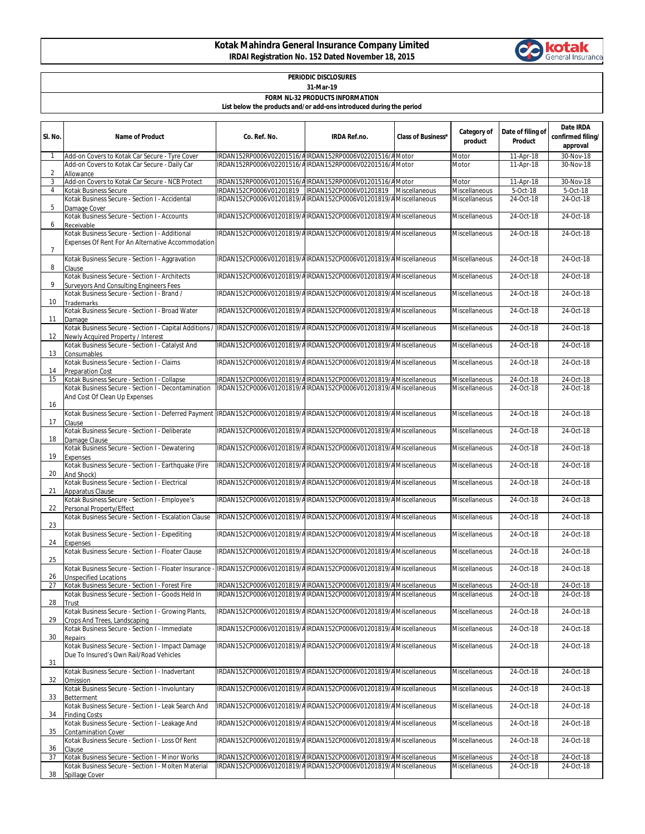## **Kotak Mahindra General Insurance Company Limited IRDAI Registration No. 152 Dated November 18, 2015**



| <b>PERIODIC DISCLOSURES</b>                                         |
|---------------------------------------------------------------------|
| 31-Mar-19                                                           |
| <b>FORM NL-32 PRODUCTS INFORMATION</b>                              |
| List below the products and/or add-ons introduced during the period |

| SI. No.        | <b>Name of Product</b>                                                                                                                                        | Co. Ref. No.                                                                                                                       | <b>IRDA Ref.no.</b>                                             | <b>Class of Business*</b> | Category of<br>product | Date of filing of<br>Product | Date IRDA<br>confirmed filing/<br>approval |
|----------------|---------------------------------------------------------------------------------------------------------------------------------------------------------------|------------------------------------------------------------------------------------------------------------------------------------|-----------------------------------------------------------------|---------------------------|------------------------|------------------------------|--------------------------------------------|
| $\mathbf{1}$   | Add-on Covers to Kotak Car Secure - Tyre Cover                                                                                                                | IRDAN152RP0006V02201516/AIRDAN152RP0006V02201516/AMotor                                                                            |                                                                 |                           | Motor                  | 11-Apr-18                    | 30-Nov-18                                  |
| $\overline{2}$ | Add-on Covers to Kotak Car Secure - Daily Car<br>Allowance                                                                                                    | IRDAN152RP0006V02201516/AIRDAN152RP0006V02201516/AMotor                                                                            |                                                                 |                           | Motor                  | 11-Apr-18                    | 30-Nov-18                                  |
| 3              | Add-on Covers to Kotak Car Secure - NCB Protect                                                                                                               | IRDAN152RP0006V01201516/AIRDAN152RP0006V01201516/AMotor                                                                            |                                                                 |                           | Motor                  | 11-Apr-18                    | 30-Nov-18                                  |
| $\overline{4}$ | Kotak Business Secure                                                                                                                                         |                                                                                                                                    |                                                                 |                           | Miscellaneous          | 5-Oct-18                     | 5-Oct-18                                   |
| 5              | Kotak Business Secure - Section I - Accidental                                                                                                                | IRDAN152CP0006V01201819/AIRDAN152CP0006V01201819/AMiscellaneous                                                                    |                                                                 |                           | Miscellaneous          | 24-Oct-18                    | 24-Oct-18                                  |
| 6              | Damage Cover<br>Kotak Business Secure - Section I - Accounts<br>Receivable                                                                                    | IRDAN152CP0006V01201819/AIRDAN152CP0006V01201819/AMiscellaneous                                                                    |                                                                 |                           | Miscellaneous          | 24-Oct-18                    | 24-Oct-18                                  |
| $\overline{7}$ | Kotak Business Secure - Section I - Additional<br>Expenses Of Rent For An Alternative Accommodation                                                           | IRDAN152CP0006V01201819/AIRDAN152CP0006V01201819/AMiscellaneous                                                                    |                                                                 |                           | Miscellaneous          | 24-Oct-18                    | 24-Oct-18                                  |
| 8              | Kotak Business Secure - Section I - Aggravation<br>Clause                                                                                                     | IRDAN152CP0006V01201819/AIRDAN152CP0006V01201819/AMiscellaneous                                                                    |                                                                 |                           | Miscellaneous          | 24-Oct-18                    | 24-Oct-18                                  |
| 9              | Kotak Business Secure - Section I - Architects<br>Surveyors And Consulting Engineers Fees                                                                     | IRDAN152CP0006V01201819/AIRDAN152CP0006V01201819/AMiscellaneous                                                                    |                                                                 |                           | Miscellaneous          | 24-Oct-18                    | 24-Oct-18                                  |
| 10             | Kotak Business Secure - Section I - Brand /<br>Trademarks                                                                                                     | IRDAN152CP0006V01201819/AIRDAN152CP0006V01201819/AMiscellaneous                                                                    |                                                                 |                           | Miscellaneous          | 24-Oct-18                    | 24-Oct-18                                  |
| 11             | Kotak Business Secure - Section I - Broad Water<br>Damage                                                                                                     |                                                                                                                                    | IRDAN152CP0006V01201819/AIRDAN152CP0006V01201819/AMiscellaneous |                           | Miscellaneous          | 24-Oct-18                    | 24-Oct-18                                  |
| 12             | Kotak Business Secure - Section I - Capital Additions / IRDAN152CP0006V01201819/AIRDAN152CP0006V01201819/AMiscellaneous<br>Newly Acquired Property / Interest |                                                                                                                                    |                                                                 |                           | Miscellaneous          | 24-Oct-18                    | 24-Oct-18                                  |
| 13             | Kotak Business Secure - Section I - Catalyst And<br>Consumables                                                                                               | IRDAN152CP0006V01201819/AIRDAN152CP0006V01201819/AMiscellaneous                                                                    |                                                                 |                           | <b>Miscellaneous</b>   | 24-Oct-18                    | 24-Oct-18                                  |
| 14             | Kotak Business Secure - Section I - Claims<br><b>Preparation Cost</b>                                                                                         | IRDAN152CP0006V01201819/AIRDAN152CP0006V01201819/AMiscellaneous                                                                    |                                                                 |                           | Miscellaneous          | 24-Oct-18                    | 24-Oct-18                                  |
| 15             | Kotak Business Secure - Section I - Collapse                                                                                                                  | IRDAN152CP0006V01201819/AIRDAN152CP0006V01201819/AMiscellaneous                                                                    |                                                                 |                           | Miscellaneous          | 24-Oct-18                    | 24-Oct-18                                  |
| 16             | Kotak Business Secure - Section I - Decontamination<br>And Cost Of Clean Up Expenses                                                                          | IRDAN152CP0006V01201819/AIRDAN152CP0006V01201819/AMiscellaneous                                                                    |                                                                 |                           | Miscellaneous          | 24-Oct-18                    | 24-Oct-18                                  |
| 17             | Kotak Business Secure - Section I - Deferred Payment  IRDAN152CP0006V01201819/AIRDAN152CP0006V01201819/AMiscellaneous<br>Clause                               |                                                                                                                                    |                                                                 |                           | Miscellaneous          | 24-Oct-18                    | 24-Oct-18                                  |
| 18             | Kotak Business Secure - Section I - Deliberate<br>Damage Clause                                                                                               | IRDAN152CP0006V01201819/AIRDAN152CP0006V01201819/AMiscellaneous                                                                    |                                                                 |                           | Miscellaneous          | 24-Oct-18                    | 24-Oct-18                                  |
| 19             | Kotak Business Secure - Section I - Dewatering<br>Expenses                                                                                                    | IRDAN152CP0006V01201819/AIRDAN152CP0006V01201819/AMiscellaneous                                                                    |                                                                 |                           | Miscellaneous          | 24-Oct-18                    | 24-Oct-18                                  |
| 20             | Kotak Business Secure - Section I - Earthquake (Fire<br>And Shock)                                                                                            | IRDAN152CP0006V01201819/AIRDAN152CP0006V01201819/AMiscellaneous                                                                    |                                                                 |                           | Miscellaneous          | 24-Oct-18                    | 24-Oct-18                                  |
| 21             | Kotak Business Secure - Section I - Electrical<br>Apparatus Clause                                                                                            | IRDAN152CP0006V01201819/AIRDAN152CP0006V01201819/AMiscellaneous                                                                    |                                                                 |                           | Miscellaneous          | 24-Oct-18                    | 24-Oct-18                                  |
| 22             | Kotak Business Secure - Section I - Employee's<br>Personal Property/Effect                                                                                    | IRDAN152CP0006V01201819/AIRDAN152CP0006V01201819/AMiscellaneous                                                                    |                                                                 |                           | Miscellaneous          | 24-Oct-18                    | 24-Oct-18                                  |
| 23             | Kotak Business Secure - Section I - Escalation Clause                                                                                                         | IRDAN152CP0006V01201819/AIRDAN152CP0006V01201819/AMiscellaneous                                                                    |                                                                 |                           | <b>Miscellaneous</b>   | 24-Oct-18                    | 24-Oct-18                                  |
| 24             | Kotak Business Secure - Section I - Expediting<br>Expenses                                                                                                    | IRDAN152CP0006V01201819/AIRDAN152CP0006V01201819/AMiscellaneous                                                                    |                                                                 |                           | <b>Miscellaneous</b>   | 24-Oct-18                    | 24-Oct-18                                  |
| 25             | Kotak Business Secure - Section I - Floater Clause                                                                                                            | IRDAN152CP0006V01201819/AIRDAN152CP0006V01201819/AMiscellaneous                                                                    |                                                                 |                           | <b>Miscellaneous</b>   | 24-Oct-18                    | 24-Oct-18                                  |
| 26             | Kotak Business Secure - Section I - Floater Insurance - IRDAN152CP0006V01201819/AIRDAN152CP0006V01201819/AMiscellaneous<br><b>Unspecified Locations</b>       |                                                                                                                                    |                                                                 |                           | Miscellaneous          | 24-Oct-18                    | 24-Oct-18                                  |
| 27             | Kotak Business Secure - Section I - Forest Fire                                                                                                               | IRDAN152CP0006V01201819/AIRDAN152CP0006V01201819/AMiscellaneous                                                                    |                                                                 |                           | Miscellaneous          | 24-Oct-18                    | 24-Oct-18                                  |
| 28             | Kotak Business Secure - Section I - Goods Held In<br>Trust                                                                                                    | IRDAN152CP0006V01201819/AIRDAN152CP0006V01201819/AMiscellaneous                                                                    |                                                                 |                           | Miscellaneous          | 24-Oct-18                    | 24-Oct-18                                  |
| 29             | Kotak Business Secure - Section I - Growing Plants.<br>Crops And Trees, Landscaping<br>Kotak Business Secure - Section I - Immediate                          | IRDAN152CP0006V01201819/AIRDAN152CP0006V01201819/AMiscellaneous<br>IRDAN152CP0006V01201819/AIRDAN152CP0006V01201819/AMiscellaneous |                                                                 |                           | <b>Miscellaneous</b>   | 24-Oct-18<br>24-Oct-18       | 24-Oct-18<br>24-Oct-18                     |
| 30             | Repairs                                                                                                                                                       |                                                                                                                                    |                                                                 |                           | Miscellaneous          |                              |                                            |
| 31             | Kotak Business Secure - Section I - Impact Damage<br>Due To Insured's Own Rail/Road Vehicles                                                                  | IRDAN152CP0006V01201819/AIRDAN152CP0006V01201819/AMiscellaneous                                                                    |                                                                 |                           | Miscellaneous          | 24-Oct-18                    | 24-Oct-18                                  |
| 32             | Kotak Business Secure - Section I - Inadvertant<br>Omission                                                                                                   | IRDAN152CP0006V01201819/AIRDAN152CP0006V01201819/AMiscellaneous                                                                    |                                                                 |                           | <b>Miscellaneous</b>   | 24-Oct-18                    | 24-Oct-18                                  |
| 33             | Kotak Business Secure - Section I - Involuntary<br>Betterment                                                                                                 | IRDAN152CP0006V01201819/AIRDAN152CP0006V01201819/AMiscellaneous                                                                    |                                                                 |                           | Miscellaneous          | 24-Oct-18                    | 24-Oct-18                                  |
| 34             | Kotak Business Secure - Section I - Leak Search And<br><b>Finding Costs</b>                                                                                   | IRDAN152CP0006V01201819/AIRDAN152CP0006V01201819/AMiscellaneous                                                                    |                                                                 |                           | Miscellaneous          | 24-Oct-18                    | 24-Oct-18                                  |
| 35             | Kotak Business Secure - Section I - Leakage And<br><b>Contamination Cover</b>                                                                                 | IRDAN152CP0006V01201819/AIRDAN152CP0006V01201819/AMiscellaneous                                                                    |                                                                 |                           | Miscellaneous          | 24-Oct-18                    | 24-Oct-18                                  |
| 36             | Kotak Business Secure - Section I - Loss Of Rent<br>Clause                                                                                                    | IRDAN152CP0006V01201819/AIRDAN152CP0006V01201819/AMiscellaneous                                                                    |                                                                 |                           | Miscellaneous          | 24-Oct-18                    | 24-Oct-18                                  |
| 37             | Kotak Business Secure - Section I - Minor Works                                                                                                               | IRDAN152CP0006V01201819/AIRDAN152CP0006V01201819/AMiscellaneous                                                                    |                                                                 |                           | Miscellaneous          | 24-Oct-18                    | 24-Oct-18                                  |
| 38             | Kotak Business Secure - Section I - Molten Material<br>Spillage Cover                                                                                         | IRDAN152CP0006V01201819/AIRDAN152CP0006V01201819/AMiscellaneous                                                                    |                                                                 |                           | Miscellaneous          | 24-Oct-18                    | 24-Oct-18                                  |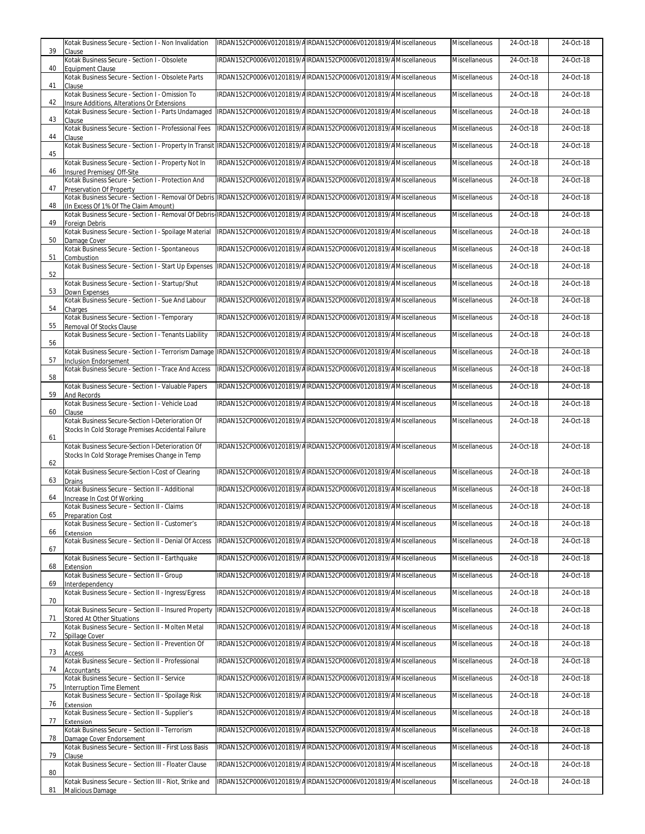| 39 | Kotak Business Secure - Section I - Non Invalidation                                                                                    | IRDAN152CP0006V01201819/AIRDAN152CP0006V01201819/AMiscellaneous | Miscellaneous        | 24-Oct-18               | 24-Oct-18    |
|----|-----------------------------------------------------------------------------------------------------------------------------------------|-----------------------------------------------------------------|----------------------|-------------------------|--------------|
|    | Clause<br>Kotak Business Secure - Section I - Obsolete                                                                                  | IRDAN152CP0006V01201819/AIRDAN152CP0006V01201819/AMiscellaneous | Miscellaneous        | 24-Oct-18               | 24-Oct-18    |
| 40 | <b>Equipment Clause</b><br>Kotak Business Secure - Section I - Obsolete Parts                                                           | IRDAN152CP0006V01201819/AIRDAN152CP0006V01201819/AMiscellaneous | Miscellaneous        | 24-Oct-18               | 24-Oct-18    |
| 41 | Clause<br>Kotak Business Secure - Section I - Omission To                                                                               | IRDAN152CP0006V01201819/AIRDAN152CP0006V01201819/AMiscellaneous | Miscellaneous        | 24-Oct-18               | 24-Oct-18    |
| 42 | Insure Additions, Alterations Or Extensions<br>Kotak Business Secure - Section I - Parts Undamaged                                      | IRDAN152CP0006V01201819/AIRDAN152CP0006V01201819/AMiscellaneous | <b>Miscellaneous</b> | 24-Oct-18               | 24-Oct-18    |
| 43 | Clause<br>Kotak Business Secure - Section I - Professional Fees                                                                         | IRDAN152CP0006V01201819/AIRDAN152CP0006V01201819/AMiscellaneous | Miscellaneous        | 24-Oct-18               | 24-Oct-18    |
| 44 | Clause                                                                                                                                  |                                                                 |                      |                         |              |
| 45 | Kotak Business Secure - Section I - Property In Transit IRDAN152CP0006V01201819/AIRDAN152CP0006V01201819/AMiscellaneous                 |                                                                 | Miscellaneous        | 24-Oct-18               | 24-Oct-18    |
| 46 | Kotak Business Secure - Section I - Property Not In<br>Insured Premises/ Off-Site                                                       | IRDAN152CP0006V01201819/AIRDAN152CP0006V01201819/AMiscellaneous | <b>Miscellaneous</b> | 24-Oct-18               | $24$ -Oct-18 |
| 47 | Kotak Business Secure - Section I - Protection And<br>Preservation Of Property                                                          | IRDAN152CP0006V01201819/AIRDAN152CP0006V01201819/AMiscellaneous | <b>Miscellaneous</b> | 24-Oct-18               | 24-Oct-18    |
| 48 | Kotak Business Secure - Section I - Removal Of Debris<br>(In Excess Of 1% Of The Claim Amount)                                          | IRDAN152CP0006V01201819/AIRDAN152CP0006V01201819/AMiscellaneous | Miscellaneous        | 24-Oct-18               | 24-Oct-18    |
| 49 | Kotak Business Secure - Section I - Removal Of Debris-IRDAN152CP0006V01201819/AIRDAN152CP0006V01201819/AMiscellaneous<br>Foreign Debris |                                                                 | Miscellaneous        | 24-Oct-18               | 24-Oct-18    |
| 50 | Kotak Business Secure - Section I - Spoilage Material<br>Damage Cover                                                                   | IRDAN152CP0006V01201819/AIRDAN152CP0006V01201819/AMiscellaneous | Miscellaneous        | 24-Oct-18               | 24-Oct-18    |
| 51 | Kotak Business Secure - Section I - Spontaneous                                                                                         | IRDAN152CP0006V01201819/AIRDAN152CP0006V01201819/AMiscellaneous | Miscellaneous        | 24-Oct-18               | 24-Oct-18    |
|    | Combustion<br>Kotak Business Secure - Section I - Start Up Expenses                                                                     | IRDAN152CP0006V01201819/AIRDAN152CP0006V01201819/AMiscellaneous | Miscellaneous        | 24-Oct-18               | 24-Oct-18    |
| 52 | Kotak Business Secure - Section I - Startup/Shut                                                                                        | IRDAN152CP0006V01201819/AIRDAN152CP0006V01201819/AMiscellaneous | Miscellaneous        | $\overline{2}$ 4-Oct-18 | 24-Oct-18    |
| 53 | Down Expenses<br>Kotak Business Secure - Section I - Sue And Labour                                                                     | IRDAN152CP0006V01201819/AIRDAN152CP0006V01201819/AMiscellaneous | Miscellaneous        | 24-Oct-18               | 24-Oct-18    |
| 54 | Charges<br>Kotak Business Secure - Section I - Temporary                                                                                | IRDAN152CP0006V01201819/AIRDAN152CP0006V01201819/AMiscellaneous | Miscellaneous        | 24-Oct-18               | 24-Oct-18    |
| 55 | Removal Of Stocks Clause<br>Kotak Business Secure - Section I - Tenants Liability                                                       | IRDAN152CP0006V01201819/AIRDAN152CP0006V01201819/AMiscellaneous | Miscellaneous        | 24-Oct-18               | 24-Oct-18    |
| 56 | Kotak Business Secure - Section I - Terrorism Damage                                                                                    | IRDAN152CP0006V01201819/AIRDAN152CP0006V01201819/AMiscellaneous | Miscellaneous        | 24-Oct-18               | 24-Oct-18    |
| 57 | <b>Inclusion Endorsement</b><br>Kotak Business Secure - Section I - Trace And Access                                                    | IRDAN152CP0006V01201819/AIRDAN152CP0006V01201819/AMiscellaneous | Miscellaneous        | 24-Oct-18               | 24-Oct-18    |
| 58 |                                                                                                                                         |                                                                 |                      |                         |              |
| 59 | Kotak Business Secure - Section I - Valuable Papers<br>And Records                                                                      | IRDAN152CP0006V01201819/AIRDAN152CP0006V01201819/AMiscellaneous | Miscellaneous        | 24-Oct-18               | 24-Oct-18    |
| 60 | Kotak Business Secure - Section I - Vehicle Load<br>Clause                                                                              | IRDAN152CP0006V01201819/AIRDAN152CP0006V01201819/AMiscellaneous | Miscellaneous        | 24-Oct-18               | 24-Oct-18    |
|    | Kotak Business Secure-Section I-Deterioration Of<br>Stocks In Cold Storage Premises Accidental Failure                                  | IRDAN152CP0006V01201819/AIRDAN152CP0006V01201819/AMiscellaneous | Miscellaneous        | 24-Oct-18               | 24-Oct-18    |
| 61 | Kotak Business Secure-Section I-Deterioration Of                                                                                        | IRDAN152CP0006V01201819/AIRDAN152CP0006V01201819/AMiscellaneous | Miscellaneous        | 24-Oct-18               | 24-Oct-18    |
| 62 | Stocks In Cold Storage Premises Change in Temp                                                                                          |                                                                 |                      |                         |              |
| 63 | Kotak Business Secure-Section I-Cost of Clearing<br><b>Drains</b>                                                                       | IRDAN152CP0006V01201819/AIRDAN152CP0006V01201819/AMiscellaneous | <b>Miscellaneous</b> | 24-Oct-18               | 24-Oct-18    |
| 64 | Kotak Business Secure - Section II - Additional<br>Increase In Cost Of Working                                                          | IRDAN152CP0006V01201819/AIRDAN152CP0006V01201819/AMiscellaneous | Miscellaneous        | 24-Oct-18               | 24-Oct-18    |
| 65 | Kotak Business Secure - Section II - Claims                                                                                             | IRDAN152CP0006V01201819/AIRDAN152CP0006V01201819/AMiscellaneous | Miscellaneous        | 24-Oct-18               | 24-Oct-18    |
|    | <b>Preparation Cost</b><br>Kotak Business Secure - Section II - Customer's                                                              | IRDAN152CP0006V01201819/AIRDAN152CP0006V01201819/AMiscellaneous | Miscellaneous        | 24-Oct-18               | 24-Oct-18    |
| 66 | Extension<br>Kotak Business Secure - Section II - Denial Of Access                                                                      | IRDAN152CP0006V01201819/AIRDAN152CP0006V01201819/AMiscellaneous | Miscellaneous        | 24-Oct-18               | 24-Oct-18    |
| 67 | Kotak Business Secure - Section II - Earthquake                                                                                         | IRDAN152CP0006V01201819/AIRDAN152CP0006V01201819/AMiscellaneous | Miscellaneous        | 24-Oct-18               | 24-Oct-18    |
| 68 | Extension<br>Kotak Business Secure - Section II - Group                                                                                 | IRDAN152CP0006V01201819/AIRDAN152CP0006V01201819/AMiscellaneous | Miscellaneous        | 24-Oct-18               | 24-Oct-18    |
| 69 | Interdependency<br>Kotak Business Secure - Section II - Ingress/Egress                                                                  | IRDAN152CP0006V01201819/AIRDAN152CP0006V01201819/AMiscellaneous | <b>Miscellaneous</b> | 24-Oct-18               | 24-Oct-18    |
| 70 | Kotak Business Secure - Section II - Insured Property                                                                                   | IRDAN152CP0006V01201819/AIRDAN152CP0006V01201819/AMiscellaneous | Miscellaneous        | 24-Oct-18               | 24-Oct-18    |
| 71 | <b>Stored At Other Situations</b><br>Kotak Business Secure - Section II - Molten Metal                                                  | IRDAN152CP0006V01201819/AIRDAN152CP0006V01201819/AMiscellaneous | Miscellaneous        | 24-Oct-18               | 24-Oct-18    |
| 72 | Spillage Cover<br>Kotak Business Secure - Section II - Prevention Of                                                                    | IRDAN152CP0006V01201819/AIRDAN152CP0006V01201819/AMiscellaneous | Miscellaneous        | 24-Oct-18               | 24-Oct-18    |
| 73 | Access<br>Kotak Business Secure - Section II - Professional                                                                             | IRDAN152CP0006V01201819/AIRDAN152CP0006V01201819/AMiscellaneous | Miscellaneous        | 24-Oct-18               | 24-Oct-18    |
| 74 | <b>Accountants</b><br>Kotak Business Secure - Section II - Service                                                                      | IRDAN152CP0006V01201819/AIRDAN152CP0006V01201819/AMiscellaneous |                      | $\overline{24}$ -Oct-18 | 24-Oct-18    |
| 75 | Interruption Time Element                                                                                                               |                                                                 | Miscellaneous        |                         |              |
| 76 | Kotak Business Secure - Section II - Spoilage Risk<br>Extension                                                                         | IRDAN152CP0006V01201819/AIRDAN152CP0006V01201819/AMiscellaneous | Miscellaneous        | 24-Oct-18               | 24-Oct-18    |
| 77 | Kotak Business Secure - Section II - Supplier's<br>Extension                                                                            | IRDAN152CP0006V01201819/AIRDAN152CP0006V01201819/AMiscellaneous | Miscellaneous        | 24-Oct-18               | 24-Oct-18    |
| 78 | Kotak Business Secure - Section II - Terrorism<br>Damage Cover Endorsement                                                              | IRDAN152CP0006V01201819/AIRDAN152CP0006V01201819/AMiscellaneous | Miscellaneous        | 24-Oct-18               | 24-Oct-18    |
| 79 | Kotak Business Secure - Section III - First Loss Basis<br>Clause                                                                        | IRDAN152CP0006V01201819/AIRDAN152CP0006V01201819/AMiscellaneous | Miscellaneous        | 24-Oct-18               | 24-Oct-18    |
| 80 | Kotak Business Secure - Section III - Floater Clause                                                                                    | IRDAN152CP0006V01201819/AIRDAN152CP0006V01201819/AMiscellaneous | Miscellaneous        | 24-Oct-18               | 24-Oct-18    |
| 81 | Kotak Business Secure - Section III - Riot, Strike and<br>Malicious Damage                                                              | IRDAN152CP0006V01201819/AIRDAN152CP0006V01201819/AMiscellaneous | Miscellaneous        | 24-Oct-18               | 24-Oct-18    |
|    |                                                                                                                                         |                                                                 |                      |                         |              |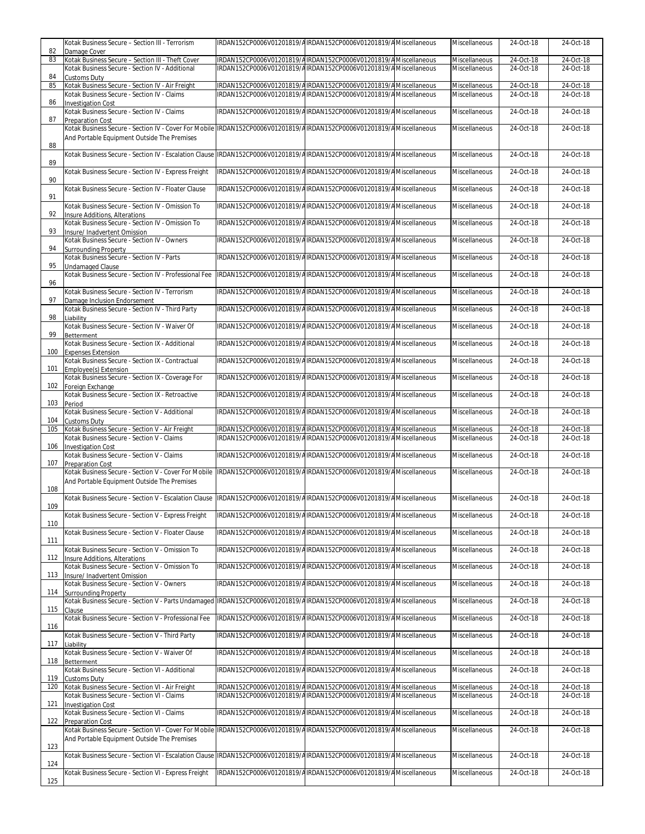|            | Kotak Business Secure - Section III - Terrorism                                                                               | IRDAN152CP0006V01201819/AIRDAN152CP0006V01201819/AMiscellaneous | Miscellaneous        | 24-Oct-18 | 24-Oct-18               |
|------------|-------------------------------------------------------------------------------------------------------------------------------|-----------------------------------------------------------------|----------------------|-----------|-------------------------|
| 82<br>83   | Damage Cover<br>Kotak Business Secure - Section III - Theft Cover                                                             | IRDAN152CP0006V01201819/AIRDAN152CP0006V01201819/AMiscellaneous | Miscellaneous        | 24-Oct-18 | 24-Oct-18               |
|            | Kotak Business Secure - Section IV - Additional                                                                               | IRDAN152CP0006V01201819/AIRDAN152CP0006V01201819/AMiscellaneous | Miscellaneous        | 24-Oct-18 | 24-Oct-18               |
| 84<br>85   | <b>Customs Duty</b><br>Kotak Business Secure - Section IV - Air Freight                                                       | IRDAN152CP0006V01201819/AIRDAN152CP0006V01201819/AMiscellaneous | Miscellaneous        | 24-Oct-18 | 24-Oct-18               |
|            | Kotak Business Secure - Section IV - Claims                                                                                   | IRDAN152CP0006V01201819/AIRDAN152CP0006V01201819/AMiscellaneous | Miscellaneous        | 24-Oct-18 | 24-Oct-18               |
| 86<br>87   | <b>Investigation Cost</b><br>Kotak Business Secure - Section IV - Claims<br><b>Preparation Cost</b>                           | IRDAN152CP0006V01201819/AIRDAN152CP0006V01201819/AMiscellaneous | Miscellaneous        | 24-Oct-18 | 24-Oct-18               |
|            | Kotak Business Secure - Section IV - Cover For Mobile IRDAN152CP0006V01201819/AIRDAN152CP0006V01201819/AMiscellaneous         |                                                                 | Miscellaneous        | 24-Oct-18 | 24-Oct-18               |
| 88         | And Portable Equipment Outside The Premises                                                                                   |                                                                 |                      |           |                         |
|            | Kotak Business Secure - Section IV - Escalation Clause   IRDAN152CP0006V01201819/A   RDAN152CP0006V01201819/A Miscellaneous   |                                                                 | <b>Miscellaneous</b> | 24-Oct-18 | 24-Oct-18               |
| 89         | Kotak Business Secure - Section IV - Express Freight                                                                          | IRDAN152CP0006V01201819/AIRDAN152CP0006V01201819/AMiscellaneous | Miscellaneous        | 24-Oct-18 | 24-Oct-18               |
| 90         | Kotak Business Secure - Section IV - Floater Clause                                                                           | IRDAN152CP0006V01201819/AIRDAN152CP0006V01201819/AMiscellaneous | Miscellaneous        | 24-Oct-18 | 24-Oct-18               |
| 91         | Kotak Business Secure - Section IV - Omission To                                                                              | IRDAN152CP0006V01201819/AIRDAN152CP0006V01201819/AMiscellaneous | Miscellaneous        | 24-Oct-18 | 24-Oct-18               |
| 92         | Insure Additions, Alterations                                                                                                 |                                                                 |                      |           | 24-Oct-18               |
| 93         | Kotak Business Secure - Section IV - Omission To<br>Insure/ Inadvertent Omission                                              | IRDAN152CP0006V01201819/AIRDAN152CP0006V01201819/AMiscellaneous | Miscellaneous        | 24-Oct-18 |                         |
| 94         | Kotak Business Secure - Section IV - Owners<br><b>Surrounding Property</b>                                                    | IRDAN152CP0006V01201819/AIRDAN152CP0006V01201819/AMiscellaneous | Miscellaneous        | 24-Oct-18 | 24-Oct-18               |
| 95         | Kotak Business Secure - Section IV - Parts<br><b>Undamaged Clause</b>                                                         | IRDAN152CP0006V01201819/AIRDAN152CP0006V01201819/AMiscellaneous | Miscellaneous        | 24-Oct-18 | 24-Oct-18               |
| 96         | Kotak Business Secure - Section IV - Professional Fee                                                                         | IRDAN152CP0006V01201819/AIRDAN152CP0006V01201819/AMiscellaneous | <b>Miscellaneous</b> | 24-Oct-18 | 24-Oct-18               |
| 97         | Kotak Business Secure - Section IV - Terrorism<br>Damage Inclusion Endorsement                                                | IRDAN152CP0006V01201819/AIRDAN152CP0006V01201819/AMiscellaneous | <b>Miscellaneous</b> | 24-Oct-18 | 24-Oct-18               |
| 98         | Kotak Business Secure - Section IV - Third Party<br>Liability                                                                 | IRDAN152CP0006V01201819/AIRDAN152CP0006V01201819/AMiscellaneous | Miscellaneous        | 24-Oct-18 | 24-Oct-18               |
| 99         | Kotak Business Secure - Section IV - Waiver Of<br>Betterment                                                                  | IRDAN152CP0006V01201819/AIRDAN152CP0006V01201819/AMiscellaneous | Miscellaneous        | 24-Oct-18 | 24-Oct-18               |
| 100        | Kotak Business Secure - Section IX - Additional<br><b>Expenses Extension</b>                                                  | IRDAN152CP0006V01201819/AIRDAN152CP0006V01201819/AMiscellaneous | Miscellaneous        | 24-Oct-18 | 24-Oct-18               |
| 101        | Kotak Business Secure - Section IX - Contractual<br>Employee(s) Extension                                                     | IRDAN152CP0006V01201819/AIRDAN152CP0006V01201819/AMiscellaneous | Miscellaneous        | 24-Oct-18 | 24-Oct-18               |
| 102        | Kotak Business Secure - Section IX - Coverage For                                                                             | IRDAN152CP0006V01201819/AIRDAN152CP0006V01201819/AMiscellaneous | Miscellaneous        | 24-Oct-18 | 24-Oct-18               |
|            | Foreign Exchange<br>Kotak Business Secure - Section IX - Retroactive                                                          | IRDAN152CP0006V01201819/AIRDAN152CP0006V01201819/AMiscellaneous | Miscellaneous        | 24-Oct-18 | 24-Oct-18               |
| 103        | Period<br>Kotak Business Secure - Section V - Additional                                                                      | IRDAN152CP0006V01201819/AIRDAN152CP0006V01201819/AMiscellaneous | Miscellaneous        | 24-Oct-18 | 24-Oct-18               |
| 104<br>105 | <b>Customs Duty</b><br>Kotak Business Secure - Section V - Air Freight                                                        | IRDAN152CP0006V01201819/AIRDAN152CP0006V01201819/AMiscellaneous | Miscellaneous        | 24-Oct-18 | 24-Oct-18               |
|            | Kotak Business Secure - Section V - Claims                                                                                    | IRDAN152CP0006V01201819/AIRDAN152CP0006V01201819/AMiscellaneous | Miscellaneous        | 24-Oct-18 | 24-Oct-18               |
| 106        | <b>Investigation Cost</b><br>Kotak Business Secure - Section V - Claims                                                       | IRDAN152CP0006V01201819/AIRDAN152CP0006V01201819/AMiscellaneous | Miscellaneous        | 24-Oct-18 | 24-Oct-18               |
| 107        | <b>Preparation Cost</b><br>Kotak Business Secure - Section V - Cover For Mobile                                               | IRDAN152CP0006V01201819/AIRDAN152CP0006V01201819/AMiscellaneous | Miscellaneous        | 24-Oct-18 | $\overline{24}$ -Oct-18 |
| 108        | And Portable Equipment Outside The Premises                                                                                   |                                                                 |                      |           |                         |
| 109        | Kotak Business Secure - Section V - Escalation Clause  IRDAN152CP0006V01201819/AIRDAN152CP0006V01201819/AMiscellaneous        |                                                                 | Miscellaneous        | 24-Oct-18 | 24-Oct-18               |
| 110        | Kotak Business Secure - Section V - Express Freight                                                                           | IRDAN152CP0006V01201819/AIRDAN152CP0006V01201819/AMiscellaneous | Miscellaneous        | 24-Oct-18 | 24-Oct-18               |
| 111        | Kotak Business Secure - Section V - Floater Clause                                                                            | IRDAN152CP0006V01201819/AIRDAN152CP0006V01201819/AMiscellaneous | Miscellaneous        | 24-Oct-18 | 24-Oct-18               |
| 112        | Kotak Business Secure - Section V - Omission To<br>Insure Additions, Alterations                                              | IRDAN152CP0006V01201819/AIRDAN152CP0006V01201819/AMiscellaneous | Miscellaneous        | 24-Oct-18 | 24-Oct-18               |
| 113        | Kotak Business Secure - Section V - Omission To<br>Insure/ Inadvertent Omission                                               | IRDAN152CP0006V01201819/AIRDAN152CP0006V01201819/AMiscellaneous | Miscellaneous        | 24-Oct-18 | 24-Oct-18               |
| 114        | Kotak Business Secure - Section V - Owners<br><b>Surrounding Property</b>                                                     | IRDAN152CP0006V01201819/AIRDAN152CP0006V01201819/AMiscellaneous | Miscellaneous        | 24-Oct-18 | 24-Oct-18               |
| 115        | Kotak Business Secure - Section V - Parts Undamaged IRDAN152CP0006V01201819/AIRDAN152CP0006V01201819/AMiscellaneous<br>Clause |                                                                 | Miscellaneous        | 24-Oct-18 | 24-Oct-18               |
| 116        | Kotak Business Secure - Section V - Professional Fee                                                                          | IRDAN152CP0006V01201819/AIRDAN152CP0006V01201819/AMiscellaneous | Miscellaneous        | 24-Oct-18 | 24-Oct-18               |
| 117        | Kotak Business Secure - Section V - Third Party<br>Liability                                                                  | IRDAN152CP0006V01201819/AIRDAN152CP0006V01201819/AMiscellaneous | Miscellaneous        | 24-Oct-18 | 24-Oct-18               |
|            | Kotak Business Secure - Section V - Waiver Of                                                                                 | IRDAN152CP0006V01201819/AIRDAN152CP0006V01201819/AMiscellaneous | Miscellaneous        | 24-Oct-18 | 24-Oct-18               |
| 118        | Betterment<br>Kotak Business Secure - Section VI - Additional                                                                 | IRDAN152CP0006V01201819/AIRDAN152CP0006V01201819/AMiscellaneous | Miscellaneous        | 24-Oct-18 | 24-Oct-18               |
| 119<br>120 | <b>Customs Duty</b><br>Kotak Business Secure - Section VI - Air Freight                                                       | IRDAN152CP0006V01201819/AIRDAN152CP0006V01201819/AMiscellaneous | Miscellaneous        | 24-Oct-18 | 24-Oct-18               |
| 121        | Kotak Business Secure - Section VI - Claims<br><b>Investigation Cost</b>                                                      | IRDAN152CP0006V01201819/AIRDAN152CP0006V01201819/AMiscellaneous | Miscellaneous        | 24-Oct-18 | 24-Oct-18               |
| 122        | Kotak Business Secure - Section VI - Claims<br><b>Preparation Cost</b>                                                        | IRDAN152CP0006V01201819/AIRDAN152CP0006V01201819/AMiscellaneous | Miscellaneous        | 24-Oct-18 | 24-Oct-18               |
|            | Kotak Business Secure - Section VI - Cover For Mobile IRDAN152CP0006V01201819/AIRDAN152CP0006V01201819/AMiscellaneous         |                                                                 | Miscellaneous        | 24-Oct-18 | 24-Oct-18               |
| 123        | And Portable Equipment Outside The Premises                                                                                   |                                                                 |                      |           |                         |
| 124        | Kotak Business Secure - Section VI - Escalation Clause   IRDAN152CP0006V01201819/A IRDAN152CP0006V01201819/A Miscellaneous    |                                                                 | Miscellaneous        | 24-Oct-18 | 24-Oct-18               |
| 125        | Kotak Business Secure - Section VI - Express Freight                                                                          | IRDAN152CP0006V01201819/AIRDAN152CP0006V01201819/AMiscellaneous | Miscellaneous        | 24-Oct-18 | 24-Oct-18               |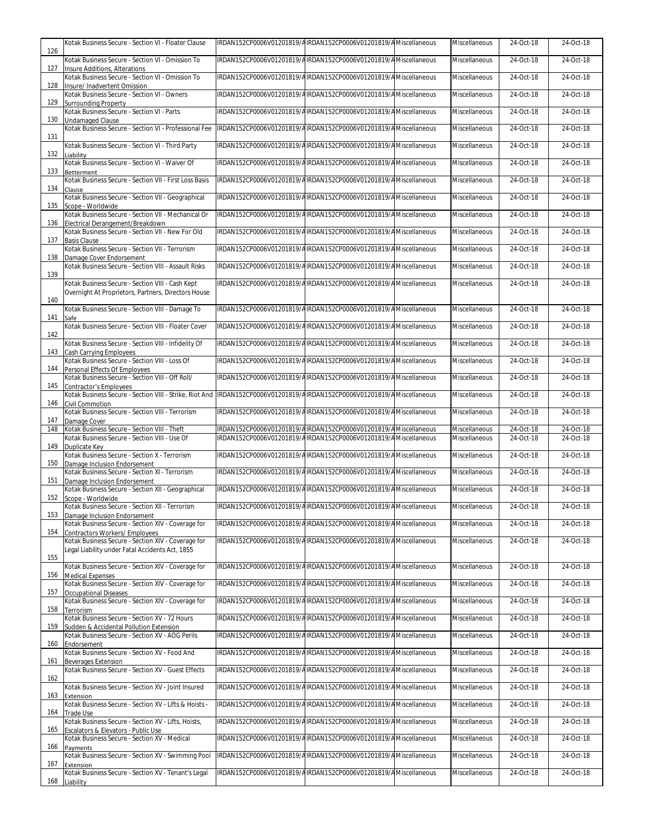| 126        | Kotak Business Secure - Section VI - Floater Clause                                                                                                       | IRDAN152CP0006V01201819/AIRDAN152CP0006V01201819/AMiscellaneous | <b>Miscellaneous</b> | 24-Oct-18 | 24-Oct-18 |
|------------|-----------------------------------------------------------------------------------------------------------------------------------------------------------|-----------------------------------------------------------------|----------------------|-----------|-----------|
|            | Kotak Business Secure - Section VI - Omission To                                                                                                          | IRDAN152CP0006V01201819/AIRDAN152CP0006V01201819/AMiscellaneous | Miscellaneous        | 24-Oct-18 | 24-Oct-18 |
| 127        | Insure Additions, Alterations<br>Kotak Business Secure - Section VI - Omission To                                                                         | IRDAN152CP0006V01201819/AIRDAN152CP0006V01201819/AMiscellaneous | <b>Miscellaneous</b> | 24-Oct-18 | 24-Oct-18 |
| 128        | Insure/ Inadvertent Omission<br>Kotak Business Secure - Section VI - Owners                                                                               | IRDAN152CP0006V01201819/AIRDAN152CP0006V01201819/AMiscellaneous | Miscellaneous        | 24-Oct-18 | 24-Oct-18 |
| 129        | <b>Surrounding Property</b><br>Kotak Business Secure - Section VI - Parts                                                                                 | IRDAN152CP0006V01201819/AIRDAN152CP0006V01201819/AMiscellaneous | Miscellaneous        | 24-Oct-18 | 24-Oct-18 |
| 130        | <b>Undamaged Clause</b><br>Kotak Business Secure - Section VI - Professional Fee                                                                          | IRDAN152CP0006V01201819/AIRDAN152CP0006V01201819/AMiscellaneous | Miscellaneous        | 24-Oct-18 | 24-Oct-18 |
| 131        |                                                                                                                                                           |                                                                 |                      |           |           |
| 132        | Kotak Business Secure - Section VI - Third Party<br>Liability                                                                                             | IRDAN152CP0006V01201819/AIRDAN152CP0006V01201819/AMiscellaneous | Miscellaneous        | 24-Oct-18 | 24-Oct-18 |
| 133        | Kotak Business Secure - Section VI - Waiver Of<br>Betterment                                                                                              | IRDAN152CP0006V01201819/AIRDAN152CP0006V01201819/AMiscellaneous | Miscellaneous        | 24-Oct-18 | 24-Oct-18 |
| 134        | Kotak Business Secure - Section VII - First Loss Basis<br>Clause                                                                                          | IRDAN152CP0006V01201819/AIRDAN152CP0006V01201819/AMiscellaneous | Miscellaneous        | 24-Oct-18 | 24-Oct-18 |
| 135        | Kotak Business Secure - Section VII - Geographical<br>Scope - Worldwide                                                                                   | IRDAN152CP0006V01201819/AIRDAN152CP0006V01201819/AMiscellaneous | Miscellaneous        | 24-Oct-18 | 24-Oct-18 |
| 136        | Kotak Business Secure - Section VII - Mechanical Or<br>Electrical Derangement/Breakdown                                                                   | IRDAN152CP0006V01201819/AIRDAN152CP0006V01201819/AMiscellaneous | Miscellaneous        | 24-Oct-18 | 24-Oct-18 |
| 137        | Kotak Business Secure - Section VII - New For Old<br><b>Basis Clause</b>                                                                                  | IRDAN152CP0006V01201819/AIRDAN152CP0006V01201819/AMiscellaneous | Miscellaneous        | 24-Oct-18 | 24-Oct-18 |
|            | Kotak Business Secure - Section VII - Terrorism                                                                                                           | IRDAN152CP0006V01201819/AIRDAN152CP0006V01201819/AMiscellaneous | Miscellaneous        | 24-Oct-18 | 24-Oct-18 |
| 138        | Damage Cover Endorsement<br>Kotak Business Secure - Section VIII - Assault Risks                                                                          | IRDAN152CP0006V01201819/AIRDAN152CP0006V01201819/AMiscellaneous | Miscellaneous        | 24-Oct-18 | 24-Oct-18 |
| 139        | Kotak Business Secure - Section VIII - Cash Kept                                                                                                          | IRDAN152CP0006V01201819/AIRDAN152CP0006V01201819/AMiscellaneous | Miscellaneous        | 24-Oct-18 | 24-Oct-18 |
| 140        | Overnight At Proprietors, Partners, Directors House                                                                                                       |                                                                 |                      |           |           |
| 141        | Kotak Business Secure - Section VIII - Damage To<br>Safe                                                                                                  | IRDAN152CP0006V01201819/AIRDAN152CP0006V01201819/AMiscellaneous | Miscellaneous        | 24-Oct-18 | 24-Oct-18 |
| 142        | Kotak Business Secure - Section VIII - Floater Cover                                                                                                      | IRDAN152CP0006V01201819/AIRDAN152CP0006V01201819/AMiscellaneous | Miscellaneous        | 24-Oct-18 | 24-Oct-18 |
| 143        | Kotak Business Secure - Section VIII - Infidelity Of<br>Cash Carrying Employees                                                                           | IRDAN152CP0006V01201819/AIRDAN152CP0006V01201819/AMiscellaneous | Miscellaneous        | 24-Oct-18 | 24-Oct-18 |
| 144        | Kotak Business Secure - Section VIII - Loss Of<br>Personal Effects Of Employees                                                                           | IRDAN152CP0006V01201819/AIRDAN152CP0006V01201819/AMiscellaneous | Miscellaneous        | 24-Oct-18 | 24-Oct-18 |
|            | Kotak Business Secure - Section VIII - Off Roll/                                                                                                          | IRDAN152CP0006V01201819/AIRDAN152CP0006V01201819/AMiscellaneous | Miscellaneous        | 24-Oct-18 | 24-Oct-18 |
| 145        | <b>Contractor's Employees</b><br>Kotak Business Secure - Section VIII - Strike, Riot And  IRDAN152CP0006V01201819/AIRDAN152CP0006V01201819/AMiscellaneous |                                                                 | Miscellaneous        | 24-Oct-18 | 24-Oct-18 |
| 146        | <b>Civil Commotion</b><br>Kotak Business Secure - Section VIII - Terrorism                                                                                | IRDAN152CP0006V01201819/AIRDAN152CP0006V01201819/AMiscellaneous | Miscellaneous        | 24-Oct-18 | 24-Oct-18 |
| 147<br>148 | Damage Cover<br>Kotak Business Secure - Section VIII - Theft                                                                                              | IRDAN152CP0006V01201819/AIRDAN152CP0006V01201819/AMiscellaneous | Miscellaneous        | 24-Oct-18 | 24-Oct-18 |
| 149        | Kotak Business Secure - Section VIII - Use Of<br>Duplicate Key                                                                                            | IRDAN152CP0006V01201819/AIRDAN152CP0006V01201819/AMiscellaneous | Miscellaneous        | 24-Oct-18 | 24-Oct-18 |
| 150        | Kotak Business Secure - Section X - Terrorism<br>Damage Inclusion Endorsement                                                                             | IRDAN152CP0006V01201819/AIRDAN152CP0006V01201819/AMiscellaneous | <b>Miscellaneous</b> | 24-Oct-18 | 24-Oct-18 |
| 151        | Kotak Business Secure - Section XI - Terrorism<br>Damage Inclusion Endorsement                                                                            | IRDAN152CP0006V01201819/AIRDAN152CP0006V01201819/AMiscellaneous | Miscellaneous        | 24-Oct-18 | 24-Oct-18 |
|            | Kotak Business Secure - Section XII - Geographical                                                                                                        | IRDAN152CP0006V01201819/AIRDAN152CP0006V01201819/AMiscellaneous | Miscellaneous        | 24-Oct-18 | 24-Oct-18 |
| 152        | Scope - Worldwide<br>Kotak Business Secure - Section XII - Terrorism                                                                                      | IRDAN152CP0006V01201819/AIRDAN152CP0006V01201819/AMiscellaneous | Miscellaneous        | 24-Oct-18 | 24-Oct-18 |
| 153        | Damage Inclusion Endorsement<br>Kotak Business Secure - Section XIV - Coverage for                                                                        | IRDAN152CP0006V01201819/AIRDAN152CP0006V01201819/AMiscellaneous | Miscellaneous        | 24-Oct-18 | 24-Oct-18 |
| 154        | <b>Contractors Workers/ Employees</b><br>Kotak Business Secure - Section XIV - Coverage for                                                               | IRDAN152CP0006V01201819/AIRDAN152CP0006V01201819/AMiscellaneous | Miscellaneous        | 24-Oct-18 | 24-Oct-18 |
| 155        | Legal Liability under Fatal Accidents Act, 1855                                                                                                           |                                                                 |                      |           |           |
| 156        | Kotak Business Secure - Section XIV - Coverage for<br><b>Medical Expenses</b>                                                                             | IRDAN152CP0006V01201819/AIRDAN152CP0006V01201819/AMiscellaneous | Miscellaneous        | 24-Oct-18 | 24-Oct-18 |
| 157        | Kotak Business Secure - Section XIV - Coverage for<br><b>Occupational Diseases</b>                                                                        | IRDAN152CP0006V01201819/AIRDAN152CP0006V01201819/AMiscellaneous | Miscellaneous        | 24-Oct-18 | 24-Oct-18 |
| 158        | Kotak Business Secure - Section XIV - Coverage for<br>Terrorism                                                                                           | IRDAN152CP0006V01201819/AIRDAN152CP0006V01201819/AMiscellaneous | Miscellaneous        | 24-Oct-18 | 24-Oct-18 |
| 159        | Kotak Business Secure - Section XV - 72 Hours<br>Sudden & Accidental Pollution Extension                                                                  | IRDAN152CP0006V01201819/AIRDAN152CP0006V01201819/AMiscellaneous | Miscellaneous        | 24-Oct-18 | 24-Oct-18 |
| 160        | Kotak Business Secure - Section XV - AOG Perils<br>Endorsement                                                                                            | IRDAN152CP0006V01201819/AIRDAN152CP0006V01201819/AMiscellaneous | Miscellaneous        | 24-Oct-18 | 24-Oct-18 |
|            | Kotak Business Secure - Section XV - Food And                                                                                                             | IRDAN152CP0006V01201819/AIRDAN152CP0006V01201819/AMiscellaneous | Miscellaneous        | 24-Oct-18 | 24-Oct-18 |
| 161        | <b>Beverages Extension</b><br>Kotak Business Secure - Section XV - Guest Effects                                                                          | IRDAN152CP0006V01201819/AIRDAN152CP0006V01201819/AMiscellaneous | Miscellaneous        | 24-Oct-18 | 24-Oct-18 |
| 162        | Kotak Business Secure - Section XV - Joint Insured                                                                                                        | IRDAN152CP0006V01201819/AIRDAN152CP0006V01201819/AMiscellaneous | Miscellaneous        | 24-Oct-18 | 24-Oct-18 |
| 163        | Extension<br>Kotak Business Secure - Section XV - Lifts & Hoists -                                                                                        | IRDAN152CP0006V01201819/AIRDAN152CP0006V01201819/AMiscellaneous | Miscellaneous        | 24-Oct-18 | 24-Oct-18 |
| 164        | <b>Trade Use</b><br>Kotak Business Secure - Section XV - Lifts, Hoists,                                                                                   | IRDAN152CP0006V01201819/AIRDAN152CP0006V01201819/AMiscellaneous | Miscellaneous        | 24-Oct-18 | 24-Oct-18 |
| 165        | Escalators & Elevators - Public Use<br>Kotak Business Secure - Section XV - Medical                                                                       | IRDAN152CP0006V01201819/AIRDAN152CP0006V01201819/AMiscellaneous | Miscellaneous        | 24-Oct-18 | 24-Oct-18 |
| 166        | Payments<br>Kotak Business Secure - Section XV - Swimming Pool                                                                                            | IRDAN152CP0006V01201819/AIRDAN152CP0006V01201819/AMiscellaneous | Miscellaneous        | 24-Oct-18 | 24-Oct-18 |
| 167        | Extension<br>Kotak Business Secure - Section XV - Tenant's Legal                                                                                          | IRDAN152CP0006V01201819/AIRDAN152CP0006V01201819/AMiscellaneous | Miscellaneous        | 24-Oct-18 | 24-Oct-18 |
|            | 168 Liability                                                                                                                                             |                                                                 |                      |           |           |